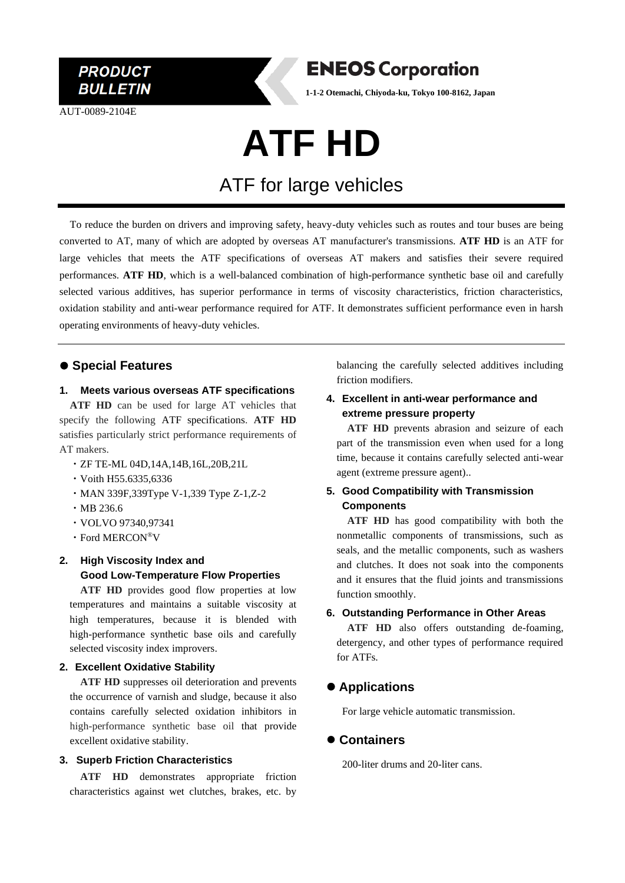

AUT-0089-2104E

### **ENEOS Corporation**

**1-1-2 Otemachi, Chiyoda-ku, Tokyo 100-8162, Japan**

# **ATF HD**

## ATF for large vehicles

To reduce the burden on drivers and improving safety, heavy-duty vehicles such as routes and tour buses are being converted to AT, many of which are adopted by overseas AT manufacturer's transmissions. **ATF HD** is an ATF for large vehicles that meets the ATF specifications of overseas AT makers and satisfies their severe required performances. **ATF HD**, which is a well-balanced combination of high-performance synthetic base oil and carefully selected various additives, has superior performance in terms of viscosity characteristics, friction characteristics, oxidation stability and anti-wear performance required for ATF. It demonstrates sufficient performance even in harsh operating environments of heavy-duty vehicles.

#### ⚫ **Special Features**

#### **1. Meets various overseas ATF specifications**

**ATF HD** can be used for large AT vehicles that specify the following ATF specifications. **ATF HD** satisfies particularly strict performance requirements of AT makers.

- ・ZF TE-ML 04D,14A,14B,16L,20B,21L
- ・Voith H55.6335,6336
- ・MAN 339F,339Type V-1,339 Type Z-1,Z-2
- ・MB 236.6
- ・VOLVO 97340,97341
- ・Ford MERCON®V

#### **2. High Viscosity Index and Good Low-Temperature Flow Properties**

**ATF HD** provides good flow properties at low temperatures and maintains a suitable viscosity at high temperatures, because it is blended with high-performance synthetic base oils and carefully selected viscosity index improvers.

#### **2. Excellent Oxidative Stability**

**ATF HD** suppresses oil deterioration and prevents the occurrence of varnish and sludge, because it also contains carefully selected oxidation inhibitors in high-performance synthetic base oil that provide excellent oxidative stability.

#### **3. Superb Friction Characteristics**

**ATF HD** demonstrates appropriate friction characteristics against wet clutches, brakes, etc. by

balancing the carefully selected additives including friction modifiers.

#### **4. Excellent in anti-wear performance and extreme pressure property**

**ATF HD** prevents abrasion and seizure of each part of the transmission even when used for a long time, because it contains carefully selected anti-wear agent (extreme pressure agent)..

#### **5. Good Compatibility with Transmission Components**

**ATF HD** has good compatibility with both the nonmetallic components of transmissions, such as seals, and the metallic components, such as washers and clutches. It does not soak into the components and it ensures that the fluid joints and transmissions function smoothly.

#### **6. Outstanding Performance in Other Areas**

**ATF HD** also offers outstanding de-foaming, detergency, and other types of performance required for ATFs.

#### ⚫ **Applications**

For large vehicle automatic transmission.

#### ⚫ **Containers**

200-liter drums and 20-liter cans.